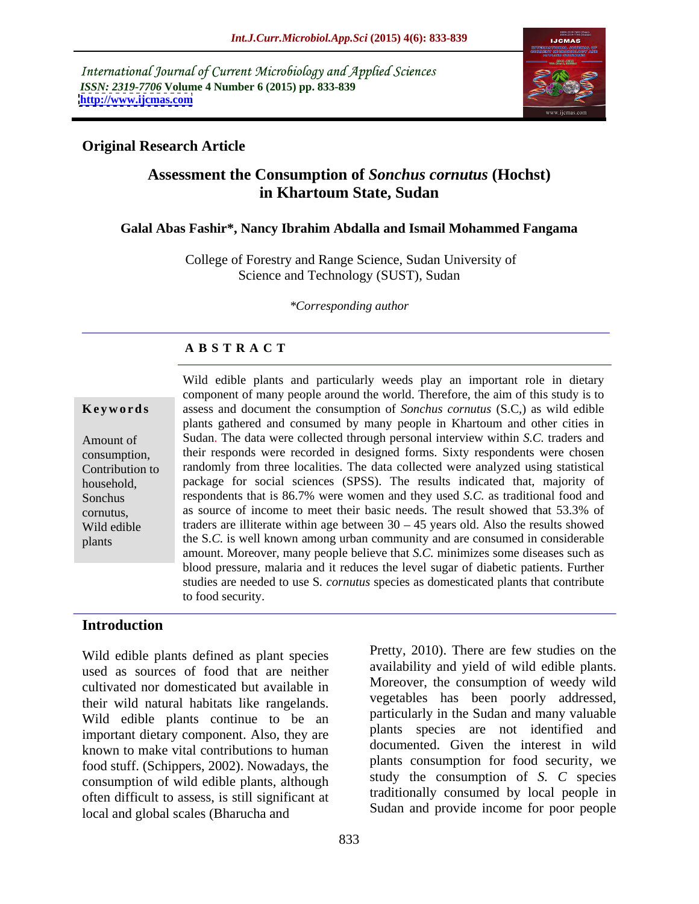International Journal of Current Microbiology and Applied Sciences *ISSN: 2319-7706* **Volume 4 Number 6 (2015) pp. 833-839 <http://www.ijcmas.com>**



# **Original Research Article**

# **Assessment the Consumption of** *Sonchus cornutus* **(Hochst) in Khartoum State, Sudan**

### **Galal Abas Fashir\*, Nancy Ibrahim Abdalla and Ismail Mohammed Fangama**

 College of Forestry and Range Science, Sudan University of Science and Technology (SUST), Sudan

*\*Corresponding author*

# **A B S T R A C T**

plants

Wild edible plants and particularly weeds play an important role in dietary component of many people around the world. Therefore, the aim of this study is to assess and document the consumption of *Sonchus cornutus* (S.C,) as wild edible **Ke ywo rds** plants gathered and consumed by many people in Khartoum and other cities in Amount of Sudan. The data were collected through personal interview within *S.C.* traders and their responds were recorded in designed forms. Sixty respondents were chosen consumption, Contribution to randomly from three localities. The data collected were analyzed using statistical package for social sciences (SPSS). The results indicated that, majority of household, Sonchus respondents that is 86.7% were women and they used *S.C*. as traditional food and as source of income to meet their basic needs. The result showed that 53.3% of cornutus, Wild edible  $\qquad$  traders are illiterate within age between  $30 - 45$  years old. Also the results showed the S*.C.* is well known among urban community and are consumed in considerable amount. Moreover, many people believe that *S.C.* minimizes some diseases such as blood pressure, malaria and it reduces the level sugar of diabetic patients. Further studies are needed to use S*. cornutus* species as domesticated plants that contribute to food security.

# **Introduction**

Wild edible plants defined as plant species used as sources of food that are neither cultivated nor domesticated but available in their wild natural habitats like rangelands. Wild edible plants continue to be an important dietary component. Also, they are known to make vital contributions to human food stuff. (Schippers, 2002). Nowadays, the consumption of wild edible plants, although often difficult to assess, is still significant at local and global scales (Bharucha and

availability and yield of wild edible plants. Moreover, the consumption of weedy wild vegetables has been poorly addressed, particularly in the Sudan and many valuable plants species are not identified and documented. Given the interest in wild plants consumption for food security, we study the consumption of *S. C* species traditionally consumed by local people in Sudan and provide income for poor people

Pretty, 2010). There are few studies on the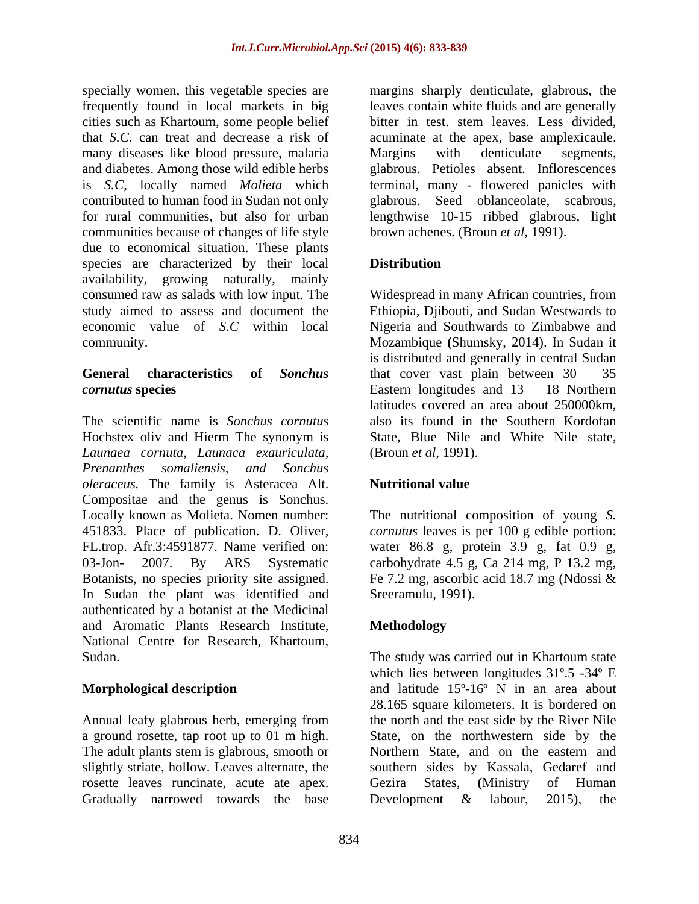specially women, this vegetable species are margins sharply denticulate, glabrous, the frequently found in local markets in big leaves contain white fluids and are generally cities such as Khartoum, some people belief that *S.C.* can treat and decrease a risk of acuminate at the apex, base amplexicaule. many diseases like blood pressure, malaria Margins with denticulate segments, and diabetes. Among those wild edible herbs glabrous. Petioles absent. Inflorescences is *S.C*, locally named *Molieta* which terminal, many - flowered panicles with contributed to human food in Sudan not only glabrous. Seed oblanceolate, scabrous, for rural communities, but also for urban lengthwise 10-15 ribbed glabrous, light communities because of changes of life style due to economical situation. These plants species are characterized by their local **Distribution** availability, growing naturally, mainly consumed raw as salads with low input. The Widespread in many African countries, from study aimed to assess and document the economic value of *S.C* within local Nigeria and Southwards to Zimbabwe and

The scientific name is *Sonchus cornutus* also its found in the Southern Kordofan Hochstex oliv and Hierm The synonym is *Launaea cornuta, Launaca exauriculata, Prenanthes somaliensis, and Sonchus oleraceus.* The family is Asteracea Alt. Compositae and the genus is Sonchus. Locally known as Molieta. Nomen number: The nutritional composition of young *S.*  451833. Place of publication. D. Oliver, *cornutus* leaves is per 100 g edible portion: FL.trop. Afr.3:4591877. Name verified on: water 86.8 g, protein 3.9 g, fat 0.9 g, 03-Jon- 2007. By ARS Systematic carbohydrate 4.5 g, Ca 214 mg, P 13.2 mg, Botanists, no species priority site assigned. Fe 7.2 mg, ascorbic acid 18.7 mg (Ndossi & In Sudan the plant was identified and authenticated by a botanist at the Medicinal and Aromatic Plants Research Institute, National Centre for Research, Khartoum, Sudan. Sudan. Sudan and Sudan Sudan Sudan Sudan Sudan Sudan Sudan Sudan Sudan Sudan Sudan Sudan Sudan Sudan Sudan Sudan Sudan Sudan Sudan Sudan Sudan Sudan Sudan Sudan Sudan Sudan Sudan Sudan Sudan Sudan Sudan Sudan Sudan

a ground rosette, tap root up to 01 m high. The adult plants stem is glabrous, smooth or rosette leaves runcinate, acute ate apex. Gezira States, (Ministry of Human Gradually narrowed towards the base Development & labour, 2015), the

bitter in test. stem leaves. Less divided, Margins with denticulate segments, brown achenes. (Broun *et al*, 1991).

# **Distribution**

community. Mozambique **(**Shumsky, 2014). In Sudan it **General characteristics of** *Sonchus* that cover vast plain between 30 – 35 *cornutus* **species** Eastern longitudes and 13 – 18 Northern Ethiopia, Djibouti, and Sudan Westwards to is distributed and generally in central Sudan latitudes covered an area about 250000km, State, Blue Nile and White Nile state, (Broun *et al*, 1991).

### **Nutritional value**

Sreeramulu, 1991).

# **Methodology**

**Morphological description** and latitude 15<sup>°</sup>-16<sup>°</sup> N in an area about Annual leafy glabrous herb, emerging from the north and the east side by the River Nile slightly striate, hollow. Leaves alternate, the southern sides by Kassala, Gedaref and The study was carried out in Khartoum state which lies between longitudes 31º.5 -34º E 28.165 square kilometers. It is bordered on State, on the northwestern side by the Northern State, and on the eastern and Gezira States, **(**Ministry of Human Development & labour, 2015), the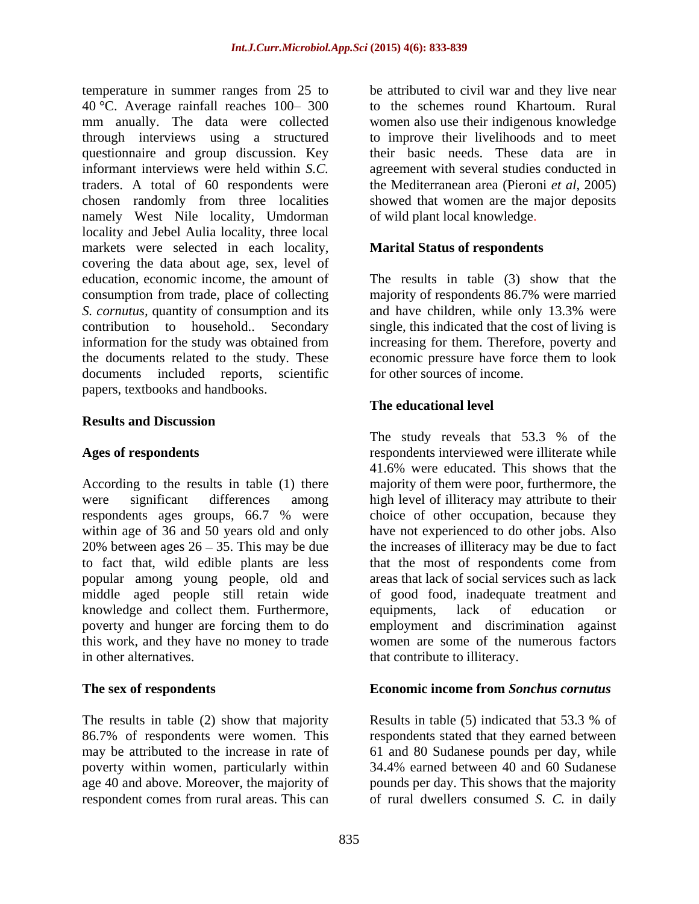temperature in summer ranges from 25 to be attributed to civil war and they live near 40 °C. Average rainfall reaches  $100-300$ mm anually. The data were collected women also use their indigenous knowledge through interviews using a structured questionnaire and group discussion. Key informant interviews were held within *S.C.* agreement with several studies conducted in traders. A total of 60 respondents were the Mediterranean area (Pieroni *et al*, 2005) chosen randomly from three localities showed that women are the major deposits namely West Nile locality, Umdorman locality and Jebel Aulia locality, three local markets were selected in each locality, covering the data about age, sex, level of education, economic income, the amount of The results in table (3) show that the consumption from trade, place of collecting *S. cornutus,* quantity of consumption and its contribution to household.. Secondary single, this indicated that the cost of living is information for the study was obtained from increasing for them. Therefore, poverty and the documents related to the study. These documents included reports, scientific papers, textbooks and handbooks.

### **Results and Discussion**

According to the results in table (1) there majority of them were poor, furthermore, the were significant differences among high level of illiteracy may attribute to their respondents ages groups, 66.7 % were choice of other occupation, because they within age of 36 and 50 years old and only 20% between ages  $26 - 35$ . This may be due the increases of illiteracy may be due to fact to fact that, wild edible plants are less popular among young people, old and middle aged people still retain wide knowledge and collect them. Furthermore, equipments, lack of education or poverty and hunger are forcing them to do this work, and they have no money to trade women are some of the numerous factors

The results in table (2) show that majority<br>
Results in table (5) indicated that 53.3 % of<br>
Results in table (5) indicated that 53.3 % of<br>
Results in table (5) indicated that 53.3 % of<br>
Results in table (5) indicated that 86.7% of respondents were women. This respondents stated that they earned between may be attributed to the increase in rate of 61 and 80 Sudanese pounds per day, while poverty within women, particularly within 34.4% earned between 40 and 60 Sudanese age 40 and above. Moreover, the majority of pounds per day. This shows that the majority respondent comes from rural areas. This can of rural dwellers consumed *S. C.* in daily

to the schemes round Khartoum. Rural to improve their livelihoods and to meet their basic needs. These data are in of wild plant local knowledge.

### **Marital Status of respondents**

majority of respondents 86.7% were married and have children, while only 13.3% were economic pressure have force them to look for other sources of income.

### **The educational level**

Ages of respondents **respondents** respondents interviewed were illiterate while in other alternatives. that contribute to illiteracy. The study reveals that 53.3 % of the 41.6% were educated. This shows that the choice of other occupation, because they have not experienced to do other jobs. Also that the most of respondents come from areas that lack of social services such as lack of good food, inadequate treatment and equipments, lack of education or employment and discrimination against

### **The sex of respondents Economic income from** *Sonchus cornutus*

Results in table (5) indicated that 53.3 % of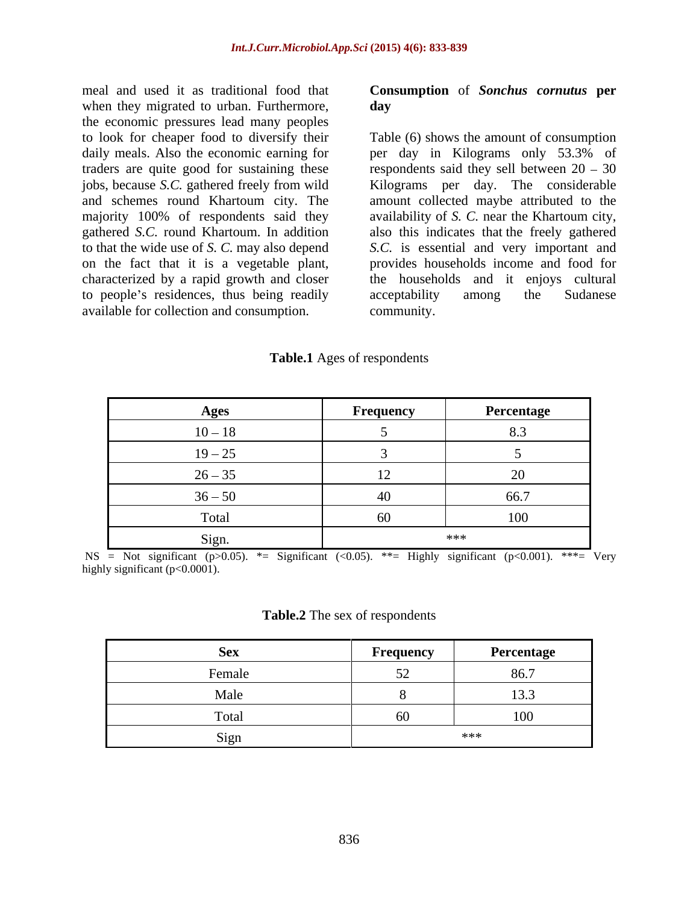meal and used it as traditional food that **Consumption** of *Sonchus cornutus* **per** when they migrated to urban. Furthermore, day the economic pressures lead many peoples traders are quite good for sustaining these characterized by a rapid growth and closer to people's residences, thus being readily acceptability among the Sudanese available for collection and consumption.

# **day**

to look for cheaper food to diversify their Table (6) shows the amount of consumption daily meals. Also the economic earning for per day in Kilograms only 53.3% of jobs, because *S.C.* gathered freely from wild Kilograms per day. The considerable and schemes round Khartoum city. The amount collected maybe attributed to the majority 100% of respondents said they availability of *S. C.* near the Khartoum city, gathered *S.C.* round Khartoum. In addition also this indicates that the freely gathered to that the wide use of *S. C.* may also depend *S.C.* is essential and very important and on the fact that it is a vegetable plant, provides households income and food for respondents said they sell between  $20 - 30$ the households and it enjoys cultural acceptability among the Sudanese community.

**Table.1** Ages of respondents

| Ages      | Frequency                | Percentage     |
|-----------|--------------------------|----------------|
| $10 - 18$ |                          |                |
| $19 - 25$ |                          |                |
| $26 - 35$ |                          | $\Delta$<br>∠∪ |
| $36 - 50$ |                          | 66.7           |
| Total     | $\overline{\phantom{a}}$ | 100            |
| Sign.     |                          | ***            |

NS = Not significant (p>0.05). \*= Significant (<0.05). \*\*= Highly significant (p<0.001). \*\*\*= Very highly significant (p<0.0001).

### **Table.2** The sex of respondents

|                             | Frequency     | Percentage |
|-----------------------------|---------------|------------|
| Female                      | $\sim$ $\sim$ | 86.7       |
| Male                        |               | 13.3       |
| fotal                       | -60-          |            |
| $\sim$<br>S <sub>1</sub> gn |               | ***        |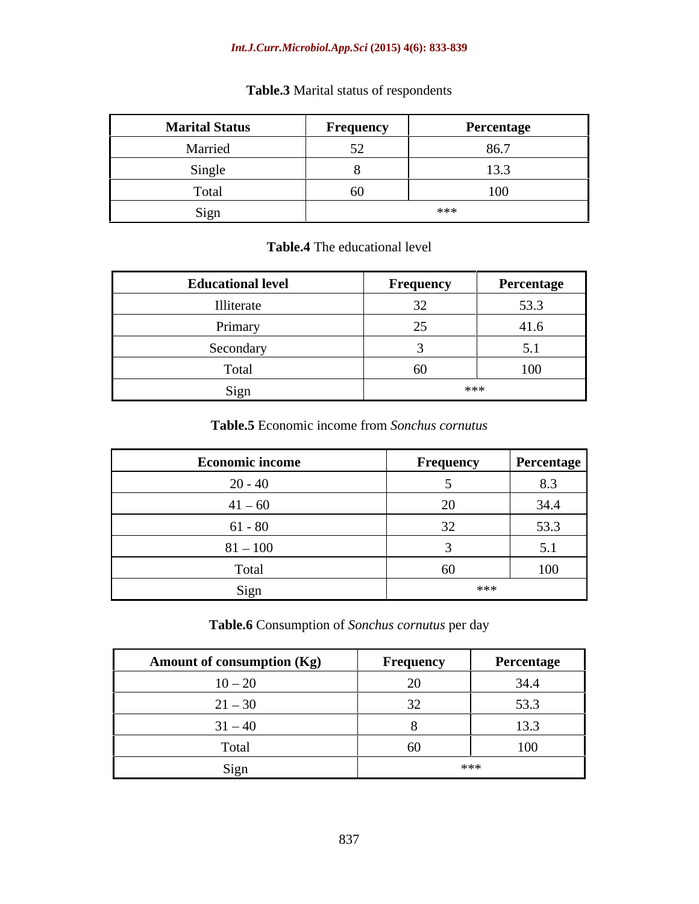### *Int.J.Curr.Microbiol.App.Sci* **(2015) 4(6): 833-839**

| <b>Marital Status</b> | Frequency | Percentage |
|-----------------------|-----------|------------|
| Married               | $ -$      | 86.7       |
| Single                |           | 13.3       |
| Total                 | 60        | 100        |
| Sign                  |           | ***        |

# **Table.3** Marital status of respondents

# **Table.4** The educational level

| <b>Educational level</b> | Frequency                        | Percentage                               |
|--------------------------|----------------------------------|------------------------------------------|
| Illiterate               | $\sim$<br>$\sim$ $\prime$<br>ے ب | $\sim$ $\sim$<br>33.3                    |
| Primary                  | رے                               | 41.6                                     |
| Secondary                |                                  | $\boldsymbol{\mathsf{u}}\cdot\mathbf{r}$ |
| Total                    | 60                               | 100                                      |
| Sign                     | ***                              |                                          |

# **Table.5** Economic income from *Sonchus cornutus*

| <b>Economic income</b> | Frequency | <b>Percentage</b>      |
|------------------------|-----------|------------------------|
| $20 - 40$              |           | 8.3                    |
| $41 - 60$              |           | 34.4                   |
| $61 - 80$              |           | 53.3                   |
| $81 - 100$             |           | $\sim$ 1<br>$\cup$ . 1 |
| Total                  |           | 100                    |
| Sign                   | ***       |                        |

# **Table.6** Consumption of *Sonchus cornutus* per day

| <b>Amount of consumption (Kg)</b> | Frequency | Percentage             |
|-----------------------------------|-----------|------------------------|
| $10 - 20$                         |           | 34.4                   |
| $21 - 30$                         |           | 53 <sup>°</sup><br>JJ. |
| $31 - 40$                         |           | 13.3                   |
| Tota.                             |           |                        |
| Sign                              |           | ***                    |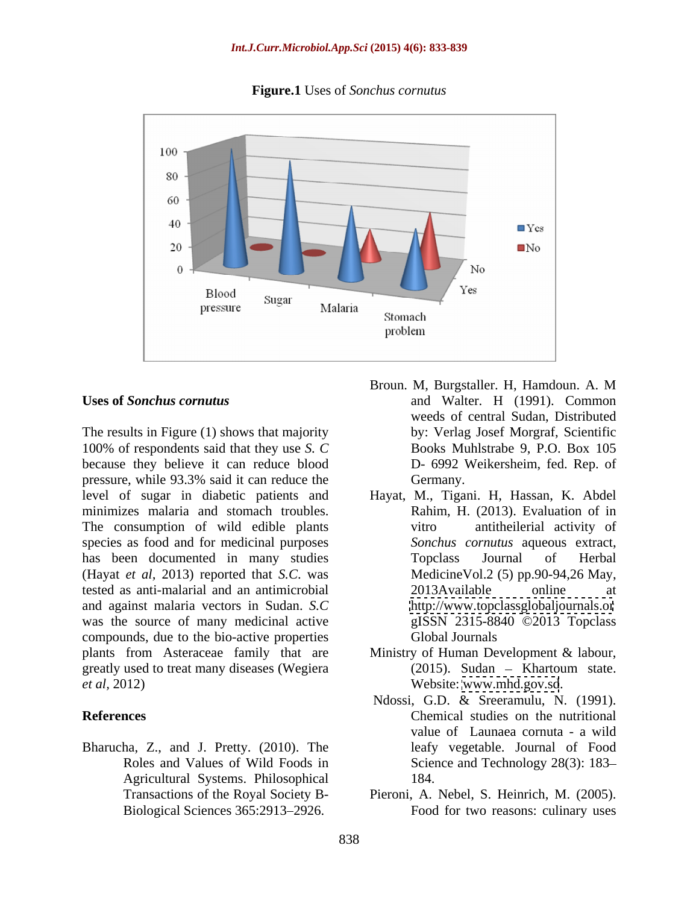**Figure.1** Uses of *Sonchus cornutus* 



The results in Figure (1) shows that majority 100% of respondents said that they use *S. C* because they believe it can reduce blood pressure, while 93.3% said it can reduce the level of sugar in diabetic patients and Hayat, M., Tigani. H, Hassan, K. Abdel minimizes malaria and stomach troubles. The consumption of wild edible plants witro antitheilerial activity of species as food and for medicinal purposes has been documented in many studies Topclass Journal of Herbal (Hayat *et al,* 2013) reported that *S.C*. was tested as anti-malarial and an antimicrobial and against malaria vectors in Sudan. *S.C* was the source of many medicinal active compounds, due to the bio-active properties plants from Asteraceae family that are Ministry of Human Development & labour, greatly used to treat many diseases (Wegiera *et al,* 2012) Website: [www.mhd.gov.sd](http://www.mhd.gov.sd).

Bharucha, Z., and J. Pretty. (2010). The Agricultural Systems. Philosophical

- Uses of *Sonchus cornutus* and Walter. H (1991). Common Broun. M, Burgstaller. H, Hamdoun. A. M weeds of central Sudan, Distributed by: Verlag Josef Morgraf, Scientific Books Muhlstrabe 9, P.O. Box 105 D- 6992 Weikersheim, fed. Rep. of Germany.
	- Rahim, H. (2013). Evaluation of in vitro antitheilerial activity of *Sonchus cornutus* aqueous extract, Topclass Journal of Herbal MedicineVol.2 (5) pp.90-94,26 May, 2013Available online at <http://www.topclassglobaljournals.or> gISSN 2315-8840 ©2013 Topclass Global Journals
	- $(2015)$ . Sudan Khartoum state.
- **References** Chemical studies on the nutritional Roles and Values of Wild Foods in Science and Technology 28(3): 183 Ndossi, G.D. & Sreeramulu, N. (1991). value of Launaea cornuta - a wild leafy vegetable. Journal of Food 184.
	- Transactions of the Royal Society B- Pieroni, A. Nebel, S. Heinrich, M. (2005). Biological Sciences 365:2913 2926. Food for two reasons: culinary uses